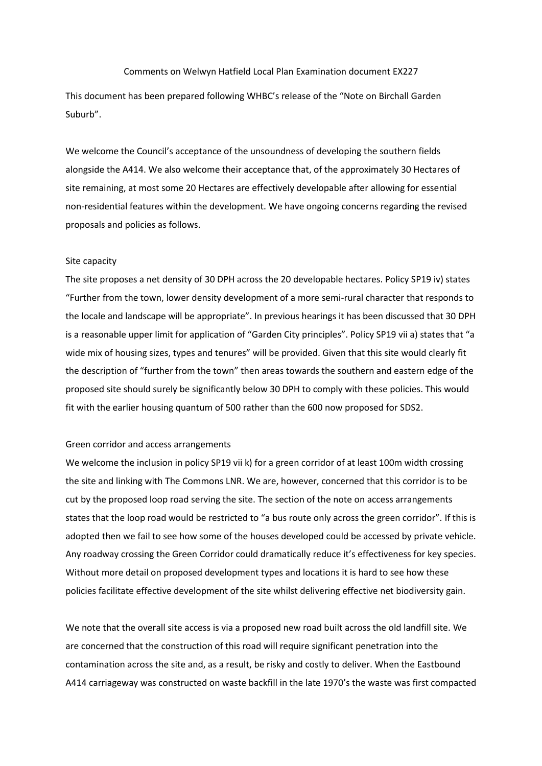#### Comments on Welwyn Hatfield Local Plan Examination document EX227

This document has been prepared following WHBC's release of the "Note on Birchall Garden Suburb".

We welcome the Council's acceptance of the unsoundness of developing the southern fields alongside the A414. We also welcome their acceptance that, of the approximately 30 Hectares of site remaining, at most some 20 Hectares are effectively developable after allowing for essential non-residential features within the development. We have ongoing concerns regarding the revised proposals and policies as follows.

#### Site capacity

The site proposes a net density of 30 DPH across the 20 developable hectares. Policy SP19 iv) states "Further from the town, lower density development of a more semi-rural character that responds to the locale and landscape will be appropriate". In previous hearings it has been discussed that 30 DPH is a reasonable upper limit for application of "Garden City principles". Policy SP19 vii a) states that "a wide mix of housing sizes, types and tenures" will be provided. Given that this site would clearly fit the description of "further from the town" then areas towards the southern and eastern edge of the proposed site should surely be significantly below 30 DPH to comply with these policies. This would fit with the earlier housing quantum of 500 rather than the 600 now proposed for SDS2.

# Green corridor and access arrangements

We welcome the inclusion in policy SP19 vii k) for a green corridor of at least 100m width crossing the site and linking with The Commons LNR. We are, however, concerned that this corridor is to be cut by the proposed loop road serving the site. The section of the note on access arrangements states that the loop road would be restricted to "a bus route only across the green corridor". If this is adopted then we fail to see how some of the houses developed could be accessed by private vehicle. Any roadway crossing the Green Corridor could dramatically reduce it's effectiveness for key species. Without more detail on proposed development types and locations it is hard to see how these policies facilitate effective development of the site whilst delivering effective net biodiversity gain.

We note that the overall site access is via a proposed new road built across the old landfill site. We are concerned that the construction of this road will require significant penetration into the contamination across the site and, as a result, be risky and costly to deliver. When the Eastbound A414 carriageway was constructed on waste backfill in the late 1970's the waste was first compacted